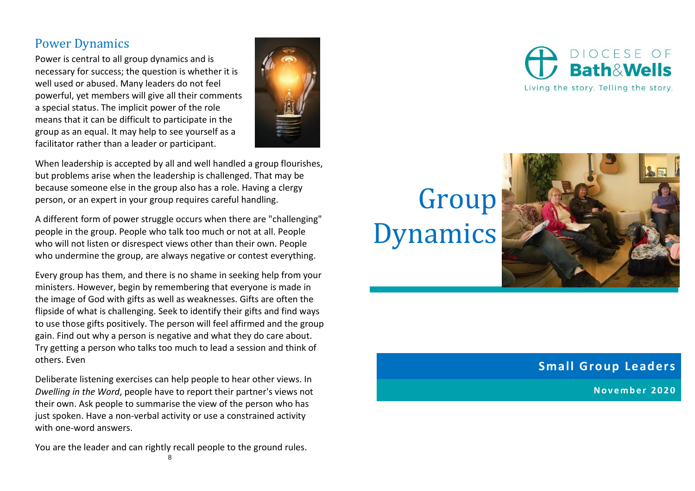## Power Dynamics

Power is central to all group dynamics and is necessary for success; the question is whether it is well used or abused. Many leaders do not feel powerful, yet members will give all their comments a special status. The implicit power of the role means that it can be difficult to participate in the group as an equal. It may help to see yourself as a facilitator rather than a leader or participant.



When leadership is accepted by all and well handled a group flourishes, but problems arise when the leadership is challenged. That may be because someone else in the group also has a role. Having a clergy person, or an expert in your group requires careful handling.

A different form of power struggle occurs when there are "challenging" people in the group. People who talk too much or not at all. People who will not listen or disrespect views other than their own. People who undermine the group, are always negative or contest everything.

Every group has them, and there is no shame in seeking help from your ministers. However, begin by remembering that everyone is made in the image of God with gifts as well as weaknesses. Gifts are often the flipside of what is challenging. Seek to identify their gifts and find ways to use those gifts positively. The person will feel affirmed and the group gain. Find out why a person is negative and what they do care about. Try getting a person who talks too much to lead a session and think of others. Even

Deliberate listening exercises can help people to hear other views. In *Dwelling in the Word*, people have to report their partner's views not their own. Ask people to summarise the view of the person who has just spoken. Have a non-verbal activity or use a constrained activity with one-word answers.

8 You are the leader and can rightly recall people to the ground rules.

# **Group** Dynamics



### **Small Group Leaders**

**N o v e m b e r 2020**